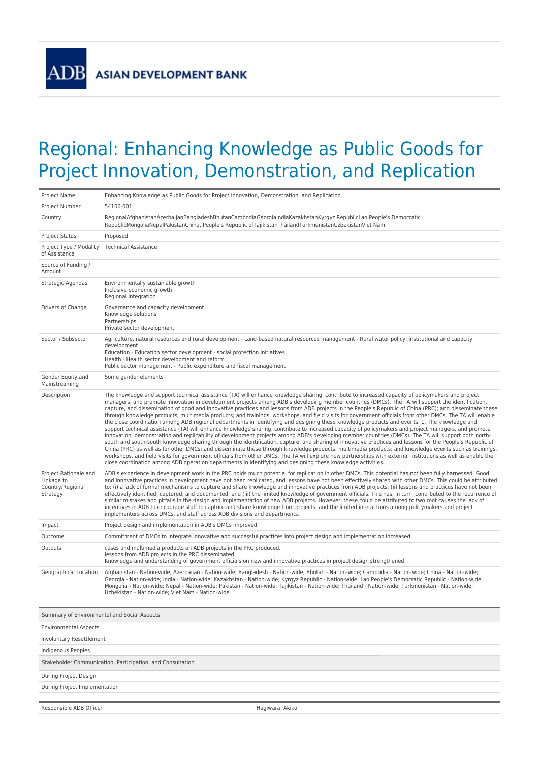## Regional: Enhancing Knowledge as Public Goods for Project Innovation, Demonstration, and Replication

| Project Name                                                        | Enhancing Knowledge as Public Goods for Project Innovation, Demonstration, and Replication                                                                                                                                                                                                                                                                                                                                                                                                                                                                                                                                                                                                                                                                                                                                                                                                                                                                                                                                                                                                                                                                                                                                                                                                                                                                                                                                                                                                                                                                                                                                                                                                      |  |
|---------------------------------------------------------------------|-------------------------------------------------------------------------------------------------------------------------------------------------------------------------------------------------------------------------------------------------------------------------------------------------------------------------------------------------------------------------------------------------------------------------------------------------------------------------------------------------------------------------------------------------------------------------------------------------------------------------------------------------------------------------------------------------------------------------------------------------------------------------------------------------------------------------------------------------------------------------------------------------------------------------------------------------------------------------------------------------------------------------------------------------------------------------------------------------------------------------------------------------------------------------------------------------------------------------------------------------------------------------------------------------------------------------------------------------------------------------------------------------------------------------------------------------------------------------------------------------------------------------------------------------------------------------------------------------------------------------------------------------------------------------------------------------|--|
| Project Number                                                      | 54106-001                                                                                                                                                                                                                                                                                                                                                                                                                                                                                                                                                                                                                                                                                                                                                                                                                                                                                                                                                                                                                                                                                                                                                                                                                                                                                                                                                                                                                                                                                                                                                                                                                                                                                       |  |
| Country                                                             | RegionalAfghanistanAzerbaijanBangladeshBhutanCambodiaGeorgiaIndiaKazakhstanKyrgyz RepublicLao People's Democratic<br>RepublicMongoliaNepalPakistanChina, People's Republic ofTajikistanThailandTurkmenistanUzbekistanViet Nam                                                                                                                                                                                                                                                                                                                                                                                                                                                                                                                                                                                                                                                                                                                                                                                                                                                                                                                                                                                                                                                                                                                                                                                                                                                                                                                                                                                                                                                                   |  |
| Project Status                                                      | Proposed                                                                                                                                                                                                                                                                                                                                                                                                                                                                                                                                                                                                                                                                                                                                                                                                                                                                                                                                                                                                                                                                                                                                                                                                                                                                                                                                                                                                                                                                                                                                                                                                                                                                                        |  |
| Project Type / Modality<br>of Assistance                            | <b>Technical Assistance</b>                                                                                                                                                                                                                                                                                                                                                                                                                                                                                                                                                                                                                                                                                                                                                                                                                                                                                                                                                                                                                                                                                                                                                                                                                                                                                                                                                                                                                                                                                                                                                                                                                                                                     |  |
| Source of Funding /<br>Amount                                       |                                                                                                                                                                                                                                                                                                                                                                                                                                                                                                                                                                                                                                                                                                                                                                                                                                                                                                                                                                                                                                                                                                                                                                                                                                                                                                                                                                                                                                                                                                                                                                                                                                                                                                 |  |
| Strategic Agendas                                                   | Environmentally sustainable growth<br>Inclusive economic growth<br>Regional integration                                                                                                                                                                                                                                                                                                                                                                                                                                                                                                                                                                                                                                                                                                                                                                                                                                                                                                                                                                                                                                                                                                                                                                                                                                                                                                                                                                                                                                                                                                                                                                                                         |  |
| Drivers of Change                                                   | Governance and capacity development<br>Knowledge solutions<br>Partnerships<br>Private sector development                                                                                                                                                                                                                                                                                                                                                                                                                                                                                                                                                                                                                                                                                                                                                                                                                                                                                                                                                                                                                                                                                                                                                                                                                                                                                                                                                                                                                                                                                                                                                                                        |  |
| Sector / Subsector                                                  | Agriculture, natural resources and rural development - Land-based natural resources management - Rural water policy, institutional and capacity<br>development<br>Education - Education sector development - social protection initiatives<br>Health - Health sector development and reform<br>Public sector management - Public expenditure and fiscal management                                                                                                                                                                                                                                                                                                                                                                                                                                                                                                                                                                                                                                                                                                                                                                                                                                                                                                                                                                                                                                                                                                                                                                                                                                                                                                                              |  |
| Gender Equity and<br>Mainstreaming                                  | Some gender elements                                                                                                                                                                                                                                                                                                                                                                                                                                                                                                                                                                                                                                                                                                                                                                                                                                                                                                                                                                                                                                                                                                                                                                                                                                                                                                                                                                                                                                                                                                                                                                                                                                                                            |  |
| Description                                                         | The knowledge and support technical assistance (TA) will enhance knowledge sharing, contribute to increased capacity of policymakers and project<br>managers, and promote innovation in development projects among ADB's developing member countries (DMCs). The TA will support the identification,<br>capture, and dissemination of good and innovative practices and lessons from ADB projects in the People's Republic of China (PRC); and disseminate these<br>through knowledge products; multimedia products; and trainings, workshops, and field visits for government officials from other DMCs. The TA will enable<br>the close coordination among ADB regional departments in identifying and designing these knowledge products and events. 1. The knowledge and<br>support technical assistance (TA) will enhance knowledge sharing, contribute to increased capacity of policymakers and project managers, and promote<br>innovation, demonstration and replicability of development projects among ADB's developing member countries (DMCs). The TA will support both north-<br>south and south-south knowledge sharing through the identification, capture, and sharing of innovative practices and lessons for the People's Republic of<br>China (PRC) as well as for other DMCs; and disseminate these through knowledge products; multimedia products; and knowledge events such as trainings,<br>workshops, and field visits for government officials from other DMCs. The TA will explore new partnerships with external institutions as well as enable the<br>close coordination among ADB operation departments in identifying and designing these knowledge activities. |  |
| Project Rationale and<br>Linkage to<br>Country/Regional<br>Strategy | ADB's experience in development work in the PRC holds much potential for replication in other DMCs. This potential has not been fully harnessed. Good<br>and innovative practices in development have not been replicated, and lessons have not been effectively shared with other DMCs. This could be attributed<br>to: (i) a lack of formal mechanisms to capture and share knowledge and innovative practices from ADB projects; (ii) lessons and practices have not been<br>effectively identified, captured, and documented; and (iii) the limited knowledge of government officials. This has, in turn, contributed to the recurrence of<br>similar mistakes and pitfalls in the design and implementation of new ADB projects. However, these could be attributed to two root causes the lack of<br>incentives in ADB to encourage staff to capture and share knowledge from projects; and the limited interactions among policymakers and project<br>implementers across DMCs, and staff across ADB divisions and departments.                                                                                                                                                                                                                                                                                                                                                                                                                                                                                                                                                                                                                                                          |  |
| Impact                                                              | Project design and implementation in ADB's DMCs improved                                                                                                                                                                                                                                                                                                                                                                                                                                                                                                                                                                                                                                                                                                                                                                                                                                                                                                                                                                                                                                                                                                                                                                                                                                                                                                                                                                                                                                                                                                                                                                                                                                        |  |
| Outcome                                                             | Commitment of DMCs to integrate innovative and successful practices into project design and implementation increased                                                                                                                                                                                                                                                                                                                                                                                                                                                                                                                                                                                                                                                                                                                                                                                                                                                                                                                                                                                                                                                                                                                                                                                                                                                                                                                                                                                                                                                                                                                                                                            |  |
| Outputs                                                             | cases and multimedia products on ADB projects in the PRC produced.<br>lessons from ADB projects in the PRC disseminated<br>Knowledge and understanding of government officials on new and innovative practices in project design strengthened                                                                                                                                                                                                                                                                                                                                                                                                                                                                                                                                                                                                                                                                                                                                                                                                                                                                                                                                                                                                                                                                                                                                                                                                                                                                                                                                                                                                                                                   |  |
| Geographical Location                                               | Afghanistan - Nation-wide; Azerbaijan - Nation-wide; Bangladesh - Nation-wide; Bhutan - Nation-wide; Cambodia - Nation-wide; China - Nation-wide;<br>Georgia - Nation-wide; India - Nation-wide; Kazakhstan - Nation-wide; Kyrgyz Republic - Nation-wide; Lao People's Democratic Republic - Nation-wide;<br>Mongolia - Nation-wide; Nepal - Nation-wide; Pakistan - Nation-wide; Tajikistan - Nation-wide; Thailand - Nation-wide; Turkmenistan - Nation-wide;<br>Uzbekistan - Nation-wide; Viet Nam - Nation-wide                                                                                                                                                                                                                                                                                                                                                                                                                                                                                                                                                                                                                                                                                                                                                                                                                                                                                                                                                                                                                                                                                                                                                                             |  |
| Summary of Environmental and Social Aspects                         |                                                                                                                                                                                                                                                                                                                                                                                                                                                                                                                                                                                                                                                                                                                                                                                                                                                                                                                                                                                                                                                                                                                                                                                                                                                                                                                                                                                                                                                                                                                                                                                                                                                                                                 |  |
| <b>Environmental Aspects</b>                                        |                                                                                                                                                                                                                                                                                                                                                                                                                                                                                                                                                                                                                                                                                                                                                                                                                                                                                                                                                                                                                                                                                                                                                                                                                                                                                                                                                                                                                                                                                                                                                                                                                                                                                                 |  |
| Involuntary Resettlement                                            |                                                                                                                                                                                                                                                                                                                                                                                                                                                                                                                                                                                                                                                                                                                                                                                                                                                                                                                                                                                                                                                                                                                                                                                                                                                                                                                                                                                                                                                                                                                                                                                                                                                                                                 |  |
| Indigenous Peoples                                                  |                                                                                                                                                                                                                                                                                                                                                                                                                                                                                                                                                                                                                                                                                                                                                                                                                                                                                                                                                                                                                                                                                                                                                                                                                                                                                                                                                                                                                                                                                                                                                                                                                                                                                                 |  |
| Stakeholder Communication, Participation, and Consultation          |                                                                                                                                                                                                                                                                                                                                                                                                                                                                                                                                                                                                                                                                                                                                                                                                                                                                                                                                                                                                                                                                                                                                                                                                                                                                                                                                                                                                                                                                                                                                                                                                                                                                                                 |  |
| During Project Design                                               |                                                                                                                                                                                                                                                                                                                                                                                                                                                                                                                                                                                                                                                                                                                                                                                                                                                                                                                                                                                                                                                                                                                                                                                                                                                                                                                                                                                                                                                                                                                                                                                                                                                                                                 |  |

During Project Implementation